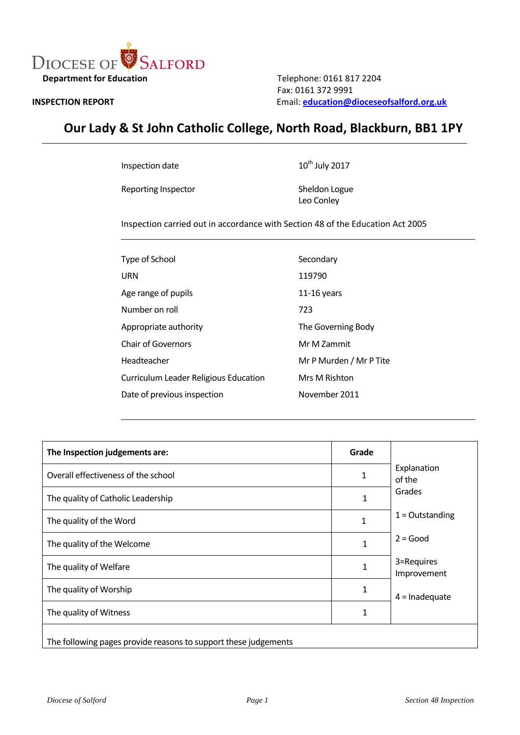

Fax: 0161 372 9991<br> **INSPECTION REPORT** Email: **education@d INSPECTION REPORT** Email: **[education@dioceseofsalford.org.uk](mailto:education@dioceseofsalford.org.uk)**

# **Our Lady & St John Catholic College, North Road, Blackburn, BB1 1PY**

Inspection date

Reporting Inspector Sheldon Logue

 $10^{th}$  July 2017

Leo Conley

Inspection carried out in accordance with Section 48 of the Education Act 2005

| Type of School                        | Secondary               |
|---------------------------------------|-------------------------|
| URN                                   | 119790                  |
| Age range of pupils                   | $11-16$ years           |
| Number on roll                        | 723                     |
| Appropriate authority                 | The Governing Body      |
| <b>Chair of Governors</b>             | Mr M Zammit             |
| Headteacher                           | Mr P Murden / Mr P Tite |
| Curriculum Leader Religious Education | Mrs M Rishton           |
| Date of previous inspection           | November 2011           |

| The Inspection judgements are:                                  | Grade |                           |  |
|-----------------------------------------------------------------|-------|---------------------------|--|
| Overall effectiveness of the school                             | 1     | Explanation<br>of the     |  |
| The quality of Catholic Leadership                              | 1     | Grades                    |  |
| The quality of the Word                                         | 1     | $1 =$ Outstanding         |  |
| The quality of the Welcome                                      | 1     | $2 = Good$                |  |
| The quality of Welfare                                          | 1     | 3=Requires<br>Improvement |  |
| The quality of Worship                                          | 1     | $4 =$ Inadequate          |  |
| The quality of Witness                                          | 1     |                           |  |
| The following pages provide reasons to support these judgements |       |                           |  |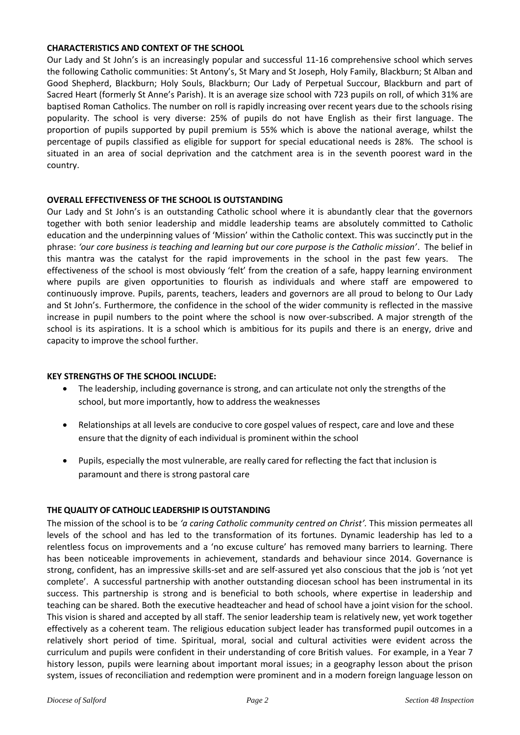## **CHARACTERISTICS AND CONTEXT OF THE SCHOOL**

Our Lady and St John's is an increasingly popular and successful 11-16 comprehensive school which serves the following Catholic communities: St Antony's, St Mary and St Joseph, Holy Family, Blackburn; St Alban and Good Shepherd, Blackburn; Holy Souls, Blackburn; Our Lady of Perpetual Succour, Blackburn and part of Sacred Heart (formerly St Anne's Parish). It is an average size school with 723 pupils on roll, of which 31% are baptised Roman Catholics. The number on roll is rapidly increasing over recent years due to the schools rising popularity. The school is very diverse: 25% of pupils do not have English as their first language. The proportion of pupils supported by pupil premium is 55% which is above the national average, whilst the percentage of pupils classified as eligible for support for special educational needs is 28%. The school is situated in an area of social deprivation and the catchment area is in the seventh poorest ward in the country.

## **OVERALL EFFECTIVENESS OF THE SCHOOL IS OUTSTANDING**

Our Lady and St John's is an outstanding Catholic school where it is abundantly clear that the governors together with both senior leadership and middle leadership teams are absolutely committed to Catholic education and the underpinning values of 'Mission' within the Catholic context. This was succinctly put in the phrase: *'our core business is teaching and learning but our core purpose is the Catholic mission'*. The belief in this mantra was the catalyst for the rapid improvements in the school in the past few years. The effectiveness of the school is most obviously 'felt' from the creation of a safe, happy learning environment where pupils are given opportunities to flourish as individuals and where staff are empowered to continuously improve. Pupils, parents, teachers, leaders and governors are all proud to belong to Our Lady and St John's. Furthermore, the confidence in the school of the wider community is reflected in the massive increase in pupil numbers to the point where the school is now over-subscribed. A major strength of the school is its aspirations. It is a school which is ambitious for its pupils and there is an energy, drive and capacity to improve the school further.

## **KEY STRENGTHS OF THE SCHOOL INCLUDE:**

- The leadership, including governance is strong, and can articulate not only the strengths of the school, but more importantly, how to address the weaknesses
- Relationships at all levels are conducive to core gospel values of respect, care and love and these ensure that the dignity of each individual is prominent within the school
- Pupils, especially the most vulnerable, are really cared for reflecting the fact that inclusion is paramount and there is strong pastoral care

## **THE QUALITY OF CATHOLIC LEADERSHIP IS OUTSTANDING**

The mission of the school is to be *'a caring Catholic community centred on Christ'.* This mission permeates all levels of the school and has led to the transformation of its fortunes. Dynamic leadership has led to a relentless focus on improvements and a 'no excuse culture' has removed many barriers to learning. There has been noticeable improvements in achievement, standards and behaviour since 2014. Governance is strong, confident, has an impressive skills-set and are self-assured yet also conscious that the job is 'not yet complete'. A successful partnership with another outstanding diocesan school has been instrumental in its success. This partnership is strong and is beneficial to both schools, where expertise in leadership and teaching can be shared. Both the executive headteacher and head of school have a joint vision for the school. This vision is shared and accepted by all staff. The senior leadership team is relatively new, yet work together effectively as a coherent team. The religious education subject leader has transformed pupil outcomes in a relatively short period of time. Spiritual, moral, social and cultural activities were evident across the curriculum and pupils were confident in their understanding of core British values. For example, in a Year 7 history lesson, pupils were learning about important moral issues; in a geography lesson about the prison system, issues of reconciliation and redemption were prominent and in a modern foreign language lesson on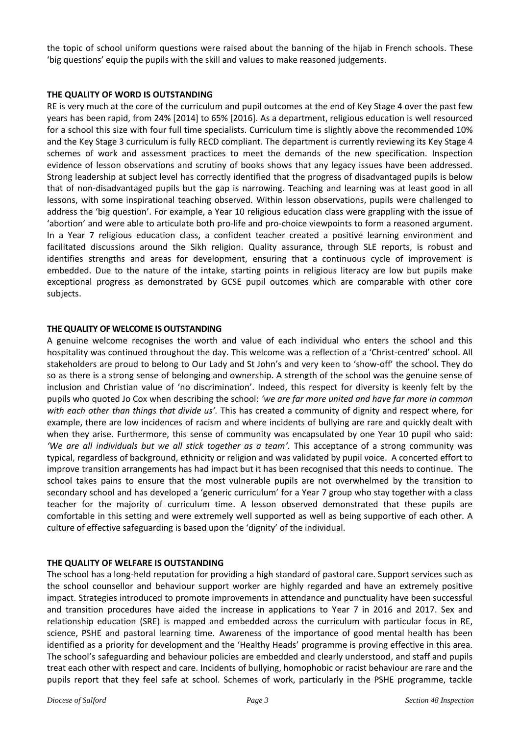the topic of school uniform questions were raised about the banning of the hijab in French schools. These 'big questions' equip the pupils with the skill and values to make reasoned judgements.

## **THE QUALITY OF WORD IS OUTSTANDING**

RE is very much at the core of the curriculum and pupil outcomes at the end of Key Stage 4 over the past few years has been rapid, from 24% [2014] to 65% [2016]. As a department, religious education is well resourced for a school this size with four full time specialists. Curriculum time is slightly above the recommended 10% and the Key Stage 3 curriculum is fully RECD compliant. The department is currently reviewing its Key Stage 4 schemes of work and assessment practices to meet the demands of the new specification. Inspection evidence of lesson observations and scrutiny of books shows that any legacy issues have been addressed. Strong leadership at subject level has correctly identified that the progress of disadvantaged pupils is below that of non-disadvantaged pupils but the gap is narrowing. Teaching and learning was at least good in all lessons, with some inspirational teaching observed. Within lesson observations, pupils were challenged to address the 'big question'. For example, a Year 10 religious education class were grappling with the issue of 'abortion' and were able to articulate both pro-life and pro-choice viewpoints to form a reasoned argument. In a Year 7 religious education class, a confident teacher created a positive learning environment and facilitated discussions around the Sikh religion. Quality assurance, through SLE reports, is robust and identifies strengths and areas for development, ensuring that a continuous cycle of improvement is embedded. Due to the nature of the intake, starting points in religious literacy are low but pupils make exceptional progress as demonstrated by GCSE pupil outcomes which are comparable with other core subjects.

#### **THE QUALITY OF WELCOME IS OUTSTANDING**

A genuine welcome recognises the worth and value of each individual who enters the school and this hospitality was continued throughout the day. This welcome was a reflection of a 'Christ-centred' school. All stakeholders are proud to belong to Our Lady and St John's and very keen to 'show-off' the school. They do so as there is a strong sense of belonging and ownership. A strength of the school was the genuine sense of inclusion and Christian value of 'no discrimination'. Indeed, this respect for diversity is keenly felt by the pupils who quoted Jo Cox when describing the school: *'we are far more united and have far more in common with each other than things that divide us'.* This has created a community of dignity and respect where, for example, there are low incidences of racism and where incidents of bullying are rare and quickly dealt with when they arise. Furthermore, this sense of community was encapsulated by one Year 10 pupil who said: *'We are all individuals but we all stick together as a team'.* This acceptance of a strong community was typical, regardless of background, ethnicity or religion and was validated by pupil voice. A concerted effort to improve transition arrangements has had impact but it has been recognised that this needs to continue. The school takes pains to ensure that the most vulnerable pupils are not overwhelmed by the transition to secondary school and has developed a 'generic curriculum' for a Year 7 group who stay together with a class teacher for the majority of curriculum time. A lesson observed demonstrated that these pupils are comfortable in this setting and were extremely well supported as well as being supportive of each other. A culture of effective safeguarding is based upon the 'dignity' of the individual.

## **THE QUALITY OF WELFARE IS OUTSTANDING**

The school has a long-held reputation for providing a high standard of pastoral care. Support services such as the school counsellor and behaviour support worker are highly regarded and have an extremely positive impact. Strategies introduced to promote improvements in attendance and punctuality have been successful and transition procedures have aided the increase in applications to Year 7 in 2016 and 2017. Sex and relationship education (SRE) is mapped and embedded across the curriculum with particular focus in RE, science, PSHE and pastoral learning time. Awareness of the importance of good mental health has been identified as a priority for development and the 'Healthy Heads' programme is proving effective in this area. The school's safeguarding and behaviour policies are embedded and clearly understood, and staff and pupils treat each other with respect and care. Incidents of bullying, homophobic or racist behaviour are rare and the pupils report that they feel safe at school. Schemes of work, particularly in the PSHE programme, tackle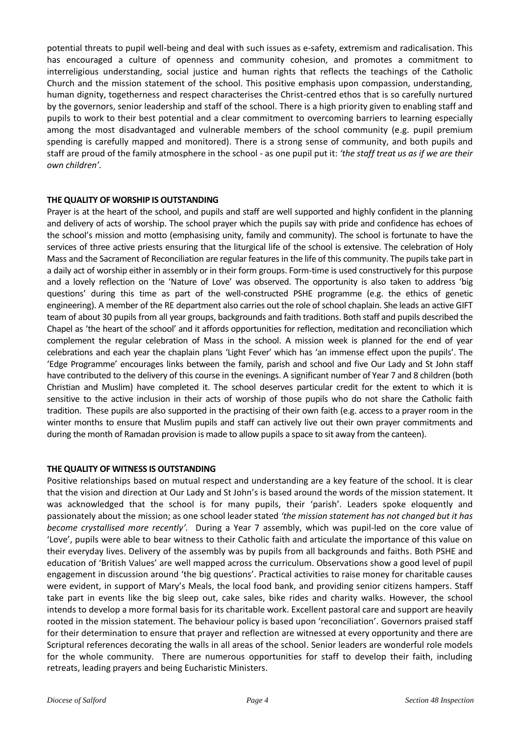potential threats to pupil well-being and deal with such issues as e-safety, extremism and radicalisation. This has encouraged a culture of openness and community cohesion, and promotes a commitment to interreligious understanding, social justice and human rights that reflects the teachings of the Catholic Church and the mission statement of the school. This positive emphasis upon compassion, understanding, human dignity, togetherness and respect characterises the Christ-centred ethos that is so carefully nurtured by the governors, senior leadership and staff of the school. There is a high priority given to enabling staff and pupils to work to their best potential and a clear commitment to overcoming barriers to learning especially among the most disadvantaged and vulnerable members of the school community (e.g. pupil premium spending is carefully mapped and monitored). There is a strong sense of community, and both pupils and staff are proud of the family atmosphere in the school - as one pupil put it: *'the staff treat us as if we are their own children'.*

## **THE QUALITY OF WORSHIP IS OUTSTANDING**

Prayer is at the heart of the school, and pupils and staff are well supported and highly confident in the planning and delivery of acts of worship. The school prayer which the pupils say with pride and confidence has echoes of the school's mission and motto (emphasising unity, family and community). The school is fortunate to have the services of three active priests ensuring that the liturgical life of the school is extensive. The celebration of Holy Mass and the Sacrament of Reconciliation are regular features in the life of this community. The pupils take part in a daily act of worship either in assembly or in their form groups. Form-time is used constructively for this purpose and a lovely reflection on the 'Nature of Love' was observed. The opportunity is also taken to address 'big questions' during this time as part of the well-constructed PSHE programme (e.g. the ethics of genetic engineering). A member of the RE department also carries out the role of school chaplain. She leads an active GIFT team of about 30 pupils from all year groups, backgrounds and faith traditions. Both staff and pupils described the Chapel as 'the heart of the school' and it affords opportunities for reflection, meditation and reconciliation which complement the regular celebration of Mass in the school. A mission week is planned for the end of year celebrations and each year the chaplain plans 'Light Fever' which has 'an immense effect upon the pupils'. The 'Edge Programme' encourages links between the family, parish and school and five Our Lady and St John staff have contributed to the delivery of this course in the evenings. A significant number of Year 7 and 8 children (both Christian and Muslim) have completed it. The school deserves particular credit for the extent to which it is sensitive to the active inclusion in their acts of worship of those pupils who do not share the Catholic faith tradition. These pupils are also supported in the practising of their own faith (e.g. access to a prayer room in the winter months to ensure that Muslim pupils and staff can actively live out their own prayer commitments and during the month of Ramadan provision is made to allow pupils a space to sit away from the canteen).

## **THE QUALITY OF WITNESS IS OUTSTANDING**

Positive relationships based on mutual respect and understanding are a key feature of the school. It is clear that the vision and direction at Our Lady and St John's is based around the words of the mission statement. It was acknowledged that the school is for many pupils, their 'parish'. Leaders spoke eloquently and passionately about the mission; as one school leader stated *'the mission statement has not changed but it has become crystallised more recently'.* During a Year 7 assembly, which was pupil-led on the core value of 'Love', pupils were able to bear witness to their Catholic faith and articulate the importance of this value on their everyday lives. Delivery of the assembly was by pupils from all backgrounds and faiths. Both PSHE and education of 'British Values' are well mapped across the curriculum. Observations show a good level of pupil engagement in discussion around 'the big questions'. Practical activities to raise money for charitable causes were evident, in support of Mary's Meals, the local food bank, and providing senior citizens hampers. Staff take part in events like the big sleep out, cake sales, bike rides and charity walks. However, the school intends to develop a more formal basis for its charitable work. Excellent pastoral care and support are heavily rooted in the mission statement. The behaviour policy is based upon 'reconciliation'. Governors praised staff for their determination to ensure that prayer and reflection are witnessed at every opportunity and there are Scriptural references decorating the walls in all areas of the school. Senior leaders are wonderful role models for the whole community. There are numerous opportunities for staff to develop their faith, including retreats, leading prayers and being Eucharistic Ministers.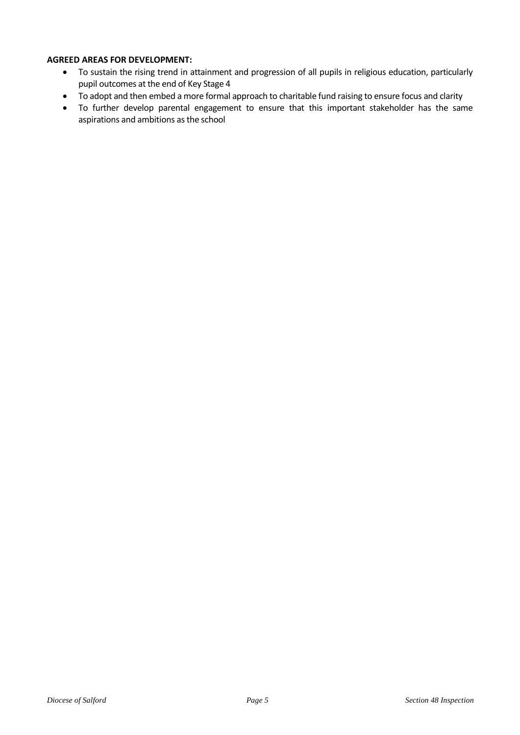## **AGREED AREAS FOR DEVELOPMENT:**

- To sustain the rising trend in attainment and progression of all pupils in religious education, particularly pupil outcomes at the end of Key Stage 4
- To adopt and then embed a more formal approach to charitable fund raising to ensure focus and clarity
- To further develop parental engagement to ensure that this important stakeholder has the same aspirations and ambitions as the school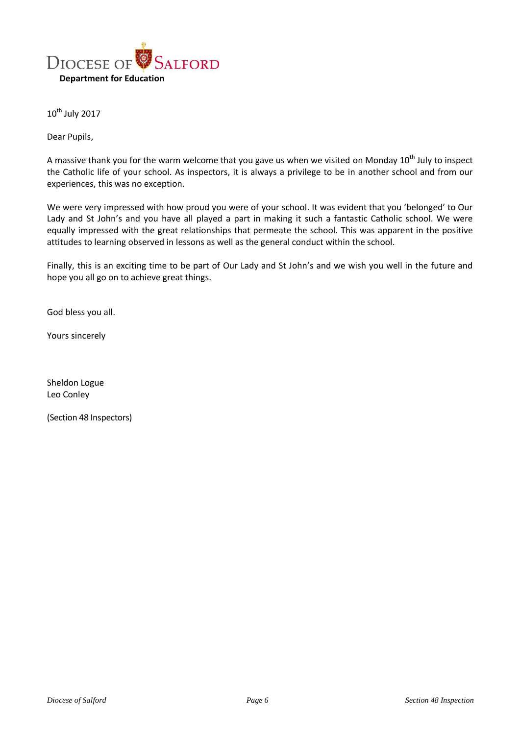

10<sup>th</sup> July 2017

Dear Pupils,

A massive thank you for the warm welcome that you gave us when we visited on Monday  $10^{th}$  July to inspect the Catholic life of your school. As inspectors, it is always a privilege to be in another school and from our experiences, this was no exception.

We were very impressed with how proud you were of your school. It was evident that you 'belonged' to Our Lady and St John's and you have all played a part in making it such a fantastic Catholic school. We were equally impressed with the great relationships that permeate the school. This was apparent in the positive attitudes to learning observed in lessons as well as the general conduct within the school.

Finally, this is an exciting time to be part of Our Lady and St John's and we wish you well in the future and hope you all go on to achieve great things.

God bless you all.

Yours sincerely

Sheldon Logue Leo Conley

(Section 48 Inspectors)